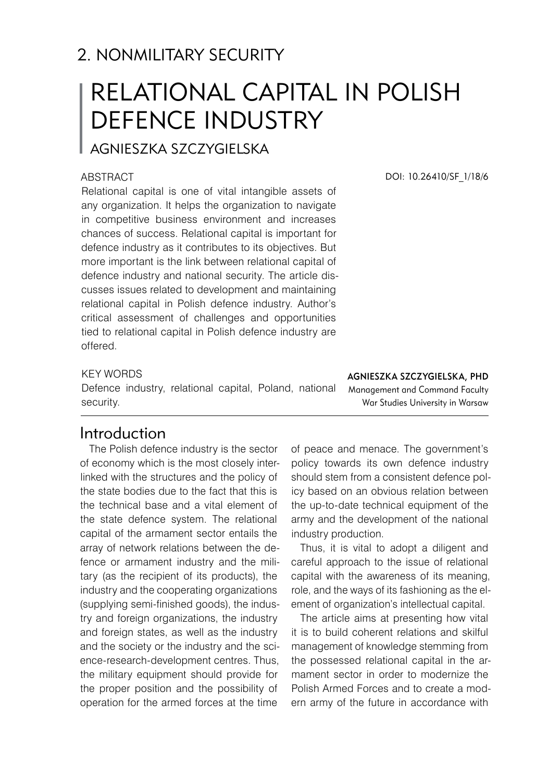# 2. NONMILITARY SECURITY

# RELATIONAL CAPITAL IN POLISH DEFENCE INDUSTRY

Agnieszka SZCZYGIELSKA

#### **ABSTRACT**

Relational capital is one of vital intangible assets of any organization. It helps the organization to navigate in competitive business environment and increases chances of success. Relational capital is important for defence industry as it contributes to its objectives. But more important is the link between relational capital of defence industry and national security. The article discusses issues related to development and maintaining relational capital in Polish defence industry. Author's critical assessment of challenges and opportunities tied to relational capital in Polish defence industry are offered.

DOI: 10.26410/SF\_1/18/6

#### KEY WORDS

Defence industry, relational capital, Poland, national security.

Agnieszka SZCZYGIELSKA, PhD Management and Command Faculty War Studies University in Warsaw

## Introduction

The Polish defence industry is the sector of economy which is the most closely interlinked with the structures and the policy of the state bodies due to the fact that this is the technical base and a vital element of the state defence system. The relational capital of the armament sector entails the array of network relations between the defence or armament industry and the military (as the recipient of its products), the industry and the cooperating organizations (supplying semi-finished goods), the industry and foreign organizations, the industry and foreign states, as well as the industry and the society or the industry and the science-research-development centres. Thus, the military equipment should provide for the proper position and the possibility of operation for the armed forces at the time

of peace and menace. The government's policy towards its own defence industry should stem from a consistent defence policy based on an obvious relation between the up-to-date technical equipment of the army and the development of the national industry production.

Thus, it is vital to adopt a diligent and careful approach to the issue of relational capital with the awareness of its meaning, role, and the ways of its fashioning as the element of organization's intellectual capital.

The article aims at presenting how vital it is to build coherent relations and skilful management of knowledge stemming from the possessed relational capital in the armament sector in order to modernize the Polish Armed Forces and to create a modern army of the future in accordance with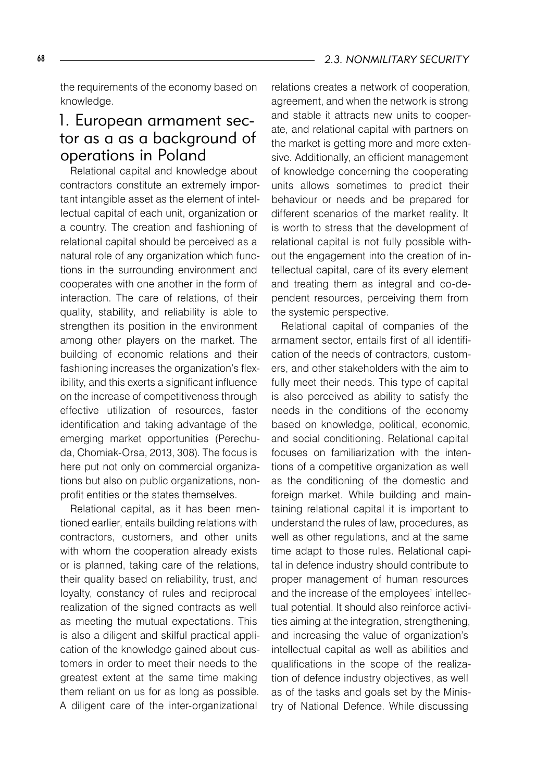the requirements of the economy based on knowledge.

## 1. European armament sector as a as a background of operations in Poland

Relational capital and knowledge about contractors constitute an extremely important intangible asset as the element of intellectual capital of each unit, organization or a country. The creation and fashioning of relational capital should be perceived as a natural role of any organization which functions in the surrounding environment and cooperates with one another in the form of interaction. The care of relations, of their quality, stability, and reliability is able to strengthen its position in the environment among other players on the market. The building of economic relations and their fashioning increases the organization's flexibility, and this exerts a significant influence on the increase of competitiveness through effective utilization of resources, faster identification and taking advantage of the emerging market opportunities (Perechuda, Chomiak-Orsa, 2013, 308). The focus is here put not only on commercial organizations but also on public organizations, nonprofit entities or the states themselves.

Relational capital, as it has been mentioned earlier, entails building relations with contractors, customers, and other units with whom the cooperation already exists or is planned, taking care of the relations, their quality based on reliability, trust, and loyalty, constancy of rules and reciprocal realization of the signed contracts as well as meeting the mutual expectations. This is also a diligent and skilful practical application of the knowledge gained about customers in order to meet their needs to the greatest extent at the same time making them reliant on us for as long as possible. A diligent care of the inter-organizational

relations creates a network of cooperation, agreement, and when the network is strong and stable it attracts new units to cooperate, and relational capital with partners on the market is getting more and more extensive. Additionally, an efficient management of knowledge concerning the cooperating units allows sometimes to predict their behaviour or needs and be prepared for different scenarios of the market reality. It is worth to stress that the development of relational capital is not fully possible without the engagement into the creation of intellectual capital, care of its every element and treating them as integral and co-dependent resources, perceiving them from the systemic perspective.

Relational capital of companies of the armament sector, entails first of all identification of the needs of contractors, customers, and other stakeholders with the aim to fully meet their needs. This type of capital is also perceived as ability to satisfy the needs in the conditions of the economy based on knowledge, political, economic, and social conditioning. Relational capital focuses on familiarization with the intentions of a competitive organization as well as the conditioning of the domestic and foreign market. While building and maintaining relational capital it is important to understand the rules of law, procedures, as well as other regulations, and at the same time adapt to those rules. Relational capital in defence industry should contribute to proper management of human resources and the increase of the employees' intellectual potential. It should also reinforce activities aiming at the integration, strengthening, and increasing the value of organization's intellectual capital as well as abilities and qualifications in the scope of the realization of defence industry objectives, as well as of the tasks and goals set by the Ministry of National Defence. While discussing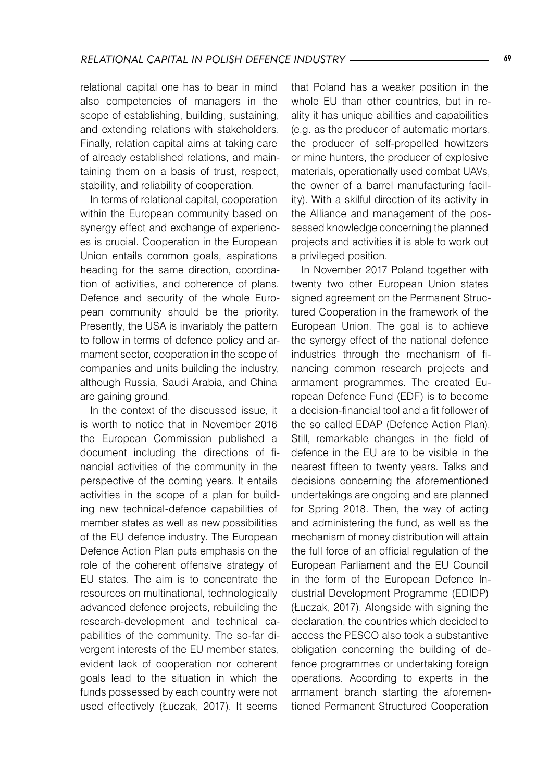relational capital one has to bear in mind also competencies of managers in the scope of establishing, building, sustaining, and extending relations with stakeholders. Finally, relation capital aims at taking care of already established relations, and maintaining them on a basis of trust, respect, stability, and reliability of cooperation.

In terms of relational capital, cooperation within the European community based on synergy effect and exchange of experiences is crucial. Cooperation in the European Union entails common goals, aspirations heading for the same direction, coordination of activities, and coherence of plans. Defence and security of the whole European community should be the priority. Presently, the USA is invariably the pattern to follow in terms of defence policy and armament sector, cooperation in the scope of companies and units building the industry, although Russia, Saudi Arabia, and China are gaining ground.

In the context of the discussed issue, it is worth to notice that in November 2016 the European Commission published a document including the directions of financial activities of the community in the perspective of the coming years. It entails activities in the scope of a plan for building new technical-defence capabilities of member states as well as new possibilities of the EU defence industry. The European Defence Action Plan puts emphasis on the role of the coherent offensive strategy of EU states. The aim is to concentrate the resources on multinational, technologically advanced defence projects, rebuilding the research-development and technical capabilities of the community. The so-far divergent interests of the EU member states, evident lack of cooperation nor coherent goals lead to the situation in which the funds possessed by each country were not used effectively (Łuczak, 2017). It seems

that Poland has a weaker position in the whole EU than other countries, but in reality it has unique abilities and capabilities (e.g. as the producer of automatic mortars, the producer of self-propelled howitzers or mine hunters, the producer of explosive materials, operationally used combat UAVs, the owner of a barrel manufacturing facility). With a skilful direction of its activity in the Alliance and management of the possessed knowledge concerning the planned projects and activities it is able to work out a privileged position.

In November 2017 Poland together with twenty two other European Union states signed agreement on the Permanent Structured Cooperation in the framework of the European Union. The goal is to achieve the synergy effect of the national defence industries through the mechanism of financing common research projects and armament programmes. The created European Defence Fund (EDF) is to become a decision-financial tool and a fit follower of the so called EDAP (Defence Action Plan). Still, remarkable changes in the field of defence in the EU are to be visible in the nearest fifteen to twenty years. Talks and decisions concerning the aforementioned undertakings are ongoing and are planned for Spring 2018. Then, the way of acting and administering the fund, as well as the mechanism of money distribution will attain the full force of an official regulation of the European Parliament and the EU Council in the form of the European Defence Industrial Development Programme (EDIDP) (Łuczak, 2017). Alongside with signing the declaration, the countries which decided to access the PESCO also took a substantive obligation concerning the building of defence programmes or undertaking foreign operations. According to experts in the armament branch starting the aforementioned Permanent Structured Cooperation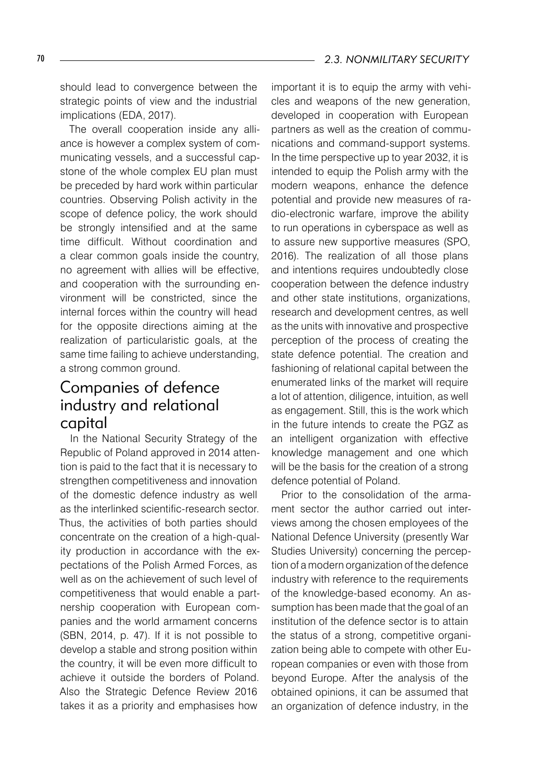should lead to convergence between the strategic points of view and the industrial implications (EDA, 2017).

The overall cooperation inside any alliance is however a complex system of communicating vessels, and a successful capstone of the whole complex EU plan must be preceded by hard work within particular countries. Observing Polish activity in the scope of defence policy, the work should be strongly intensified and at the same time difficult. Without coordination and a clear common goals inside the country, no agreement with allies will be effective, and cooperation with the surrounding environment will be constricted, since the internal forces within the country will head for the opposite directions aiming at the realization of particularistic goals, at the same time failing to achieve understanding, a strong common ground.

# Companies of defence industry and relational capital

In the National Security Strategy of the Republic of Poland approved in 2014 attention is paid to the fact that it is necessary to strengthen competitiveness and innovation of the domestic defence industry as well as the interlinked scientific-research sector. Thus, the activities of both parties should concentrate on the creation of a high-quality production in accordance with the expectations of the Polish Armed Forces, as well as on the achievement of such level of competitiveness that would enable a partnership cooperation with European companies and the world armament concerns (SBN, 2014, p. 47). If it is not possible to develop a stable and strong position within the country, it will be even more difficult to achieve it outside the borders of Poland. Also the Strategic Defence Review 2016 takes it as a priority and emphasises how

important it is to equip the army with vehicles and weapons of the new generation, developed in cooperation with European partners as well as the creation of communications and command-support systems. In the time perspective up to year 2032, it is intended to equip the Polish army with the modern weapons, enhance the defence potential and provide new measures of radio-electronic warfare, improve the ability to run operations in cyberspace as well as to assure new supportive measures (SPO, 2016). The realization of all those plans and intentions requires undoubtedly close cooperation between the defence industry and other state institutions, organizations, research and development centres, as well as the units with innovative and prospective perception of the process of creating the state defence potential. The creation and fashioning of relational capital between the enumerated links of the market will require a lot of attention, diligence, intuition, as well as engagement. Still, this is the work which in the future intends to create the PGZ as an intelligent organization with effective knowledge management and one which will be the basis for the creation of a strong defence potential of Poland.

Prior to the consolidation of the armament sector the author carried out interviews among the chosen employees of the National Defence University (presently War Studies University) concerning the perception of a modern organization of the defence industry with reference to the requirements of the knowledge-based economy. An assumption has been made that the goal of an institution of the defence sector is to attain the status of a strong, competitive organization being able to compete with other European companies or even with those from beyond Europe. After the analysis of the obtained opinions, it can be assumed that an organization of defence industry, in the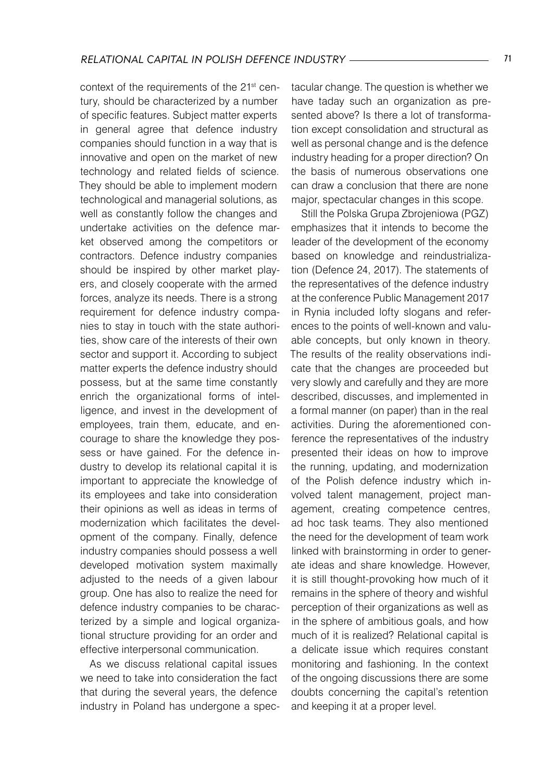context of the requirements of the 21<sup>st</sup> century, should be characterized by a number of specific features. Subject matter experts in general agree that defence industry companies should function in a way that is innovative and open on the market of new technology and related fields of science. They should be able to implement modern technological and managerial solutions, as well as constantly follow the changes and undertake activities on the defence market observed among the competitors or contractors. Defence industry companies should be inspired by other market players, and closely cooperate with the armed forces, analyze its needs. There is a strong requirement for defence industry companies to stay in touch with the state authorities, show care of the interests of their own sector and support it. According to subject matter experts the defence industry should possess, but at the same time constantly enrich the organizational forms of intelligence, and invest in the development of employees, train them, educate, and encourage to share the knowledge they possess or have gained. For the defence industry to develop its relational capital it is important to appreciate the knowledge of its employees and take into consideration their opinions as well as ideas in terms of modernization which facilitates the development of the company. Finally, defence industry companies should possess a well developed motivation system maximally adjusted to the needs of a given labour group. One has also to realize the need for defence industry companies to be characterized by a simple and logical organizational structure providing for an order and effective interpersonal communication.

As we discuss relational capital issues we need to take into consideration the fact that during the several years, the defence industry in Poland has undergone a spectacular change. The question is whether we have taday such an organization as presented above? Is there a lot of transformation except consolidation and structural as well as personal change and is the defence industry heading for a proper direction? On the basis of numerous observations one can draw a conclusion that there are none major, spectacular changes in this scope.

Still the Polska Grupa Zbrojeniowa (PGZ) emphasizes that it intends to become the leader of the development of the economy based on knowledge and reindustrialization (Defence 24, 2017). The statements of the representatives of the defence industry at the conference Public Management 2017 in Rynia included lofty slogans and references to the points of well-known and valuable concepts, but only known in theory. The results of the reality observations indicate that the changes are proceeded but very slowly and carefully and they are more described, discusses, and implemented in a formal manner (on paper) than in the real activities. During the aforementioned conference the representatives of the industry presented their ideas on how to improve the running, updating, and modernization of the Polish defence industry which involved talent management, project management, creating competence centres, ad hoc task teams. They also mentioned the need for the development of team work linked with brainstorming in order to generate ideas and share knowledge. However, it is still thought-provoking how much of it remains in the sphere of theory and wishful perception of their organizations as well as in the sphere of ambitious goals, and how much of it is realized? Relational capital is a delicate issue which requires constant monitoring and fashioning. In the context of the ongoing discussions there are some doubts concerning the capital's retention and keeping it at a proper level.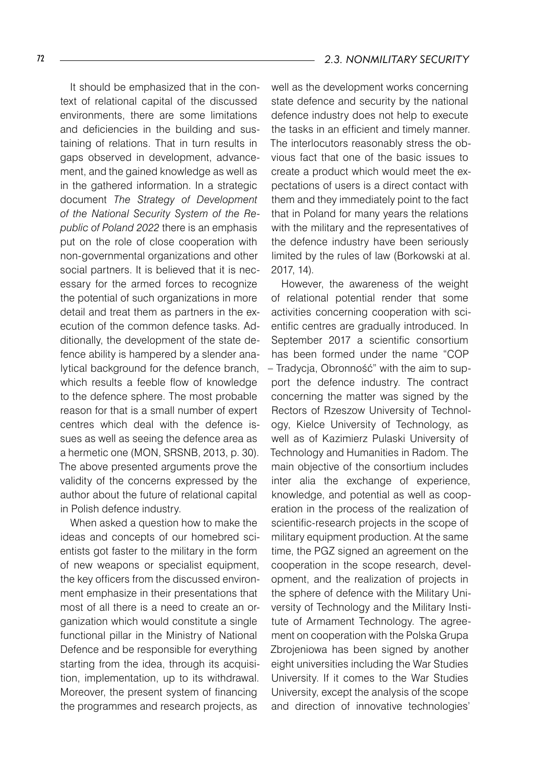It should be emphasized that in the context of relational capital of the discussed environments, there are some limitations and deficiencies in the building and sustaining of relations. That in turn results in gaps observed in development, advancement, and the gained knowledge as well as in the gathered information. In a strategic document *The Strategy of Development of the National Security System of the Republic of Poland 2022* there is an emphasis put on the role of close cooperation with non-governmental organizations and other social partners. It is believed that it is necessary for the armed forces to recognize the potential of such organizations in more detail and treat them as partners in the execution of the common defence tasks. Additionally, the development of the state defence ability is hampered by a slender analytical background for the defence branch, which results a feeble flow of knowledge to the defence sphere. The most probable reason for that is a small number of expert centres which deal with the defence issues as well as seeing the defence area as a hermetic one (MON, SRSNB, 2013, p. 30). The above presented arguments prove the validity of the concerns expressed by the

When asked a question how to make the ideas and concepts of our homebred scientists got faster to the military in the form of new weapons or specialist equipment, the key officers from the discussed environment emphasize in their presentations that most of all there is a need to create an organization which would constitute a single functional pillar in the Ministry of National Defence and be responsible for everything starting from the idea, through its acquisition, implementation, up to its withdrawal. Moreover, the present system of financing the programmes and research projects, as

author about the future of relational capital

in Polish defence industry.

well as the development works concerning state defence and security by the national defence industry does not help to execute the tasks in an efficient and timely manner. The interlocutors reasonably stress the obvious fact that one of the basic issues to create a product which would meet the expectations of users is a direct contact with them and they immediately point to the fact that in Poland for many years the relations with the military and the representatives of the defence industry have been seriously limited by the rules of law (Borkowski at al. 2017, 14).

However, the awareness of the weight of relational potential render that some activities concerning cooperation with scientific centres are gradually introduced. In September 2017 a scientific consortium has been formed under the name "COP – Tradycja, Obronność" with the aim to support the defence industry. The contract concerning the matter was signed by the Rectors of Rzeszow University of Technology, Kielce University of Technology, as well as of Kazimierz Pulaski University of Technology and Humanities in Radom. The main objective of the consortium includes inter alia the exchange of experience, knowledge, and potential as well as cooperation in the process of the realization of scientific-research projects in the scope of military equipment production. At the same time, the PGZ signed an agreement on the cooperation in the scope research, development, and the realization of projects in the sphere of defence with the Military University of Technology and the Military Institute of Armament Technology. The agreement on cooperation with the Polska Grupa Zbrojeniowa has been signed by another eight universities including the War Studies University. If it comes to the War Studies University, except the analysis of the scope and direction of innovative technologies'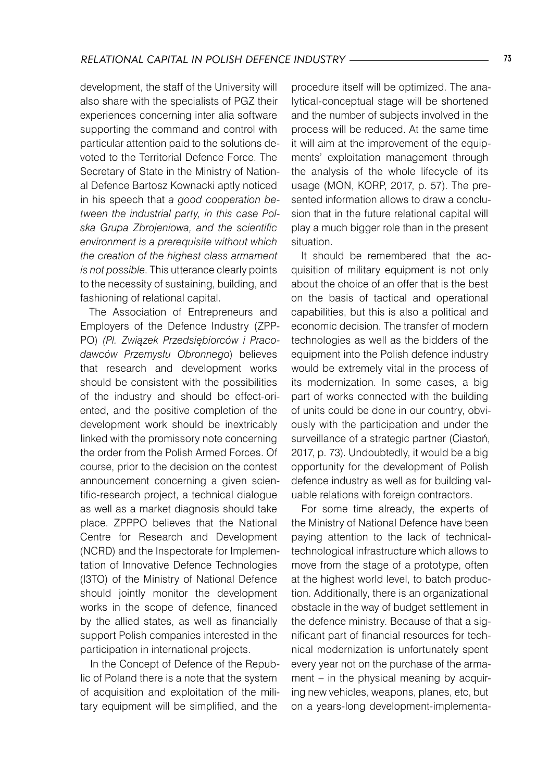development, the staff of the University will also share with the specialists of PGZ their experiences concerning inter alia software supporting the command and control with particular attention paid to the solutions devoted to the Territorial Defence Force. The Secretary of State in the Ministry of National Defence Bartosz Kownacki aptly noticed in his speech that *a good cooperation between the industrial party, in this case Polska Grupa Zbrojeniowa, and the scientific environment is a prerequisite without which the creation of the highest class armament is not possible*. This utterance clearly points to the necessity of sustaining, building, and fashioning of relational capital.

The Association of Entrepreneurs and Employers of the Defence Industry (ZPP-PO) *(Pl. Związek Przedsiębiorców i Pracodawców Przemysłu Obronnego*) believes that research and development works should be consistent with the possibilities of the industry and should be effect-oriented, and the positive completion of the development work should be inextricably linked with the promissory note concerning the order from the Polish Armed Forces. Of course, prior to the decision on the contest announcement concerning a given scientific-research project, a technical dialogue as well as a market diagnosis should take place. ZPPPO believes that the National Centre for Research and Development (NCRD) and the Inspectorate for Implementation of Innovative Defence Technologies (I3TO) of the Ministry of National Defence should jointly monitor the development works in the scope of defence, financed by the allied states, as well as financially support Polish companies interested in the participation in international projects.

In the Concept of Defence of the Republic of Poland there is a note that the system of acquisition and exploitation of the military equipment will be simplified, and the

procedure itself will be optimized. The analytical-conceptual stage will be shortened and the number of subjects involved in the process will be reduced. At the same time it will aim at the improvement of the equipments' exploitation management through the analysis of the whole lifecycle of its usage (MON, KORP, 2017, p. 57). The presented information allows to draw a conclusion that in the future relational capital will play a much bigger role than in the present situation.

It should be remembered that the acquisition of military equipment is not only about the choice of an offer that is the best on the basis of tactical and operational capabilities, but this is also a political and economic decision. The transfer of modern technologies as well as the bidders of the equipment into the Polish defence industry would be extremely vital in the process of its modernization. In some cases, a big part of works connected with the building of units could be done in our country, obviously with the participation and under the surveillance of a strategic partner (Ciastoń, 2017, p. 73). Undoubtedly, it would be a big opportunity for the development of Polish defence industry as well as for building valuable relations with foreign contractors.

For some time already, the experts of the Ministry of National Defence have been paying attention to the lack of technicaltechnological infrastructure which allows to move from the stage of a prototype, often at the highest world level, to batch production. Additionally, there is an organizational obstacle in the way of budget settlement in the defence ministry. Because of that a significant part of financial resources for technical modernization is unfortunately spent every year not on the purchase of the armament – in the physical meaning by acquiring new vehicles, weapons, planes, etc, but on a years-long development-implementa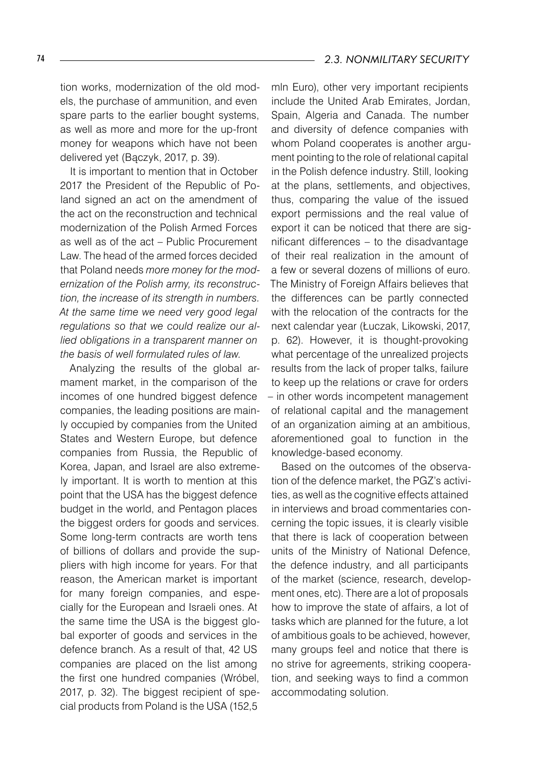tion works, modernization of the old models, the purchase of ammunition, and even spare parts to the earlier bought systems, as well as more and more for the up-front money for weapons which have not been delivered yet (Bączyk, 2017, p. 39).

It is important to mention that in October 2017 the President of the Republic of Poland signed an act on the amendment of the act on the reconstruction and technical modernization of the Polish Armed Forces as well as of the act – Public Procurement Law. The head of the armed forces decided that Poland needs *more money for the modernization of the Polish army, its reconstruction, the increase of its strength in numbers. At the same time we need very good legal regulations so that we could realize our allied obligations in a transparent manner on the basis of well formulated rules of law.*

Analyzing the results of the global armament market, in the comparison of the incomes of one hundred biggest defence companies, the leading positions are mainly occupied by companies from the United States and Western Europe, but defence companies from Russia, the Republic of Korea, Japan, and Israel are also extremely important. It is worth to mention at this point that the USA has the biggest defence budget in the world, and Pentagon places the biggest orders for goods and services. Some long-term contracts are worth tens of billions of dollars and provide the suppliers with high income for years. For that reason, the American market is important for many foreign companies, and especially for the European and Israeli ones. At the same time the USA is the biggest global exporter of goods and services in the defence branch. As a result of that, 42 US companies are placed on the list among the first one hundred companies (Wróbel, 2017, p. 32). The biggest recipient of special products from Poland is the USA (152,5

mln Euro), other very important recipients include the United Arab Emirates, Jordan, Spain, Algeria and Canada. The number and diversity of defence companies with whom Poland cooperates is another argument pointing to the role of relational capital in the Polish defence industry. Still, looking at the plans, settlements, and objectives, thus, comparing the value of the issued export permissions and the real value of export it can be noticed that there are significant differences – to the disadvantage of their real realization in the amount of a few or several dozens of millions of euro. The Ministry of Foreign Affairs believes that the differences can be partly connected with the relocation of the contracts for the next calendar year (Łuczak, Likowski, 2017, p. 62). However, it is thought-provoking what percentage of the unrealized projects results from the lack of proper talks, failure to keep up the relations or crave for orders – in other words incompetent management of relational capital and the management of an organization aiming at an ambitious, aforementioned goal to function in the knowledge-based economy.

Based on the outcomes of the observation of the defence market, the PGZ's activities, as well as the cognitive effects attained in interviews and broad commentaries concerning the topic issues, it is clearly visible that there is lack of cooperation between units of the Ministry of National Defence, the defence industry, and all participants of the market (science, research, development ones, etc). There are a lot of proposals how to improve the state of affairs, a lot of tasks which are planned for the future, a lot of ambitious goals to be achieved, however, many groups feel and notice that there is no strive for agreements, striking cooperation, and seeking ways to find a common accommodating solution.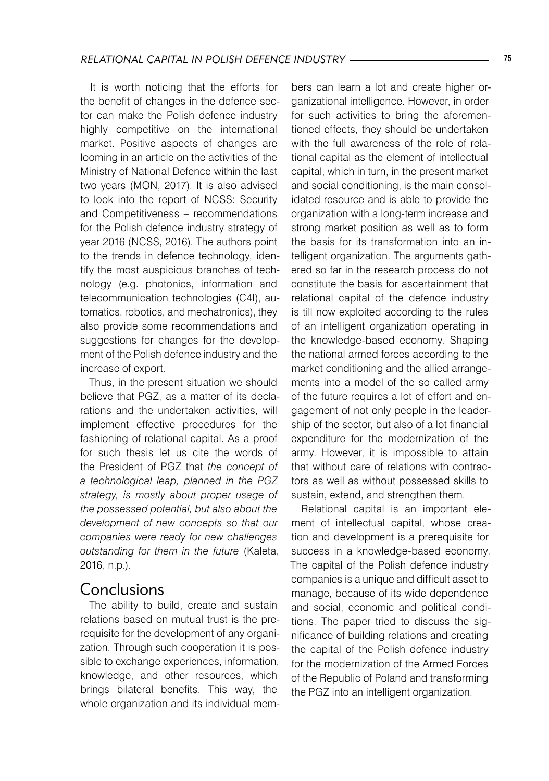It is worth noticing that the efforts for the benefit of changes in the defence sector can make the Polish defence industry highly competitive on the international market. Positive aspects of changes are looming in an article on the activities of the Ministry of National Defence within the last two years (MON, 2017). It is also advised to look into the report of NCSS: Security and Competitiveness – recommendations for the Polish defence industry strategy of year 2016 (NCSS, 2016). The authors point to the trends in defence technology, identify the most auspicious branches of technology (e.g. photonics, information and telecommunication technologies (C4I), automatics, robotics, and mechatronics), they also provide some recommendations and suggestions for changes for the development of the Polish defence industry and the increase of export.

Thus, in the present situation we should believe that PGZ, as a matter of its declarations and the undertaken activities, will implement effective procedures for the fashioning of relational capital. As a proof for such thesis let us cite the words of the President of PGZ that *the concept of a technological leap, planned in the PGZ strategy, is mostly about proper usage of the possessed potential, but also about the development of new concepts so that our companies were ready for new challenges outstanding for them in the future* (Kaleta, 2016, n.p.).

## Conclusions

The ability to build, create and sustain relations based on mutual trust is the prerequisite for the development of any organization. Through such cooperation it is possible to exchange experiences, information, knowledge, and other resources, which brings bilateral benefits. This way, the whole organization and its individual members can learn a lot and create higher organizational intelligence. However, in order for such activities to bring the aforementioned effects, they should be undertaken with the full awareness of the role of relational capital as the element of intellectual capital, which in turn, in the present market and social conditioning, is the main consolidated resource and is able to provide the organization with a long-term increase and strong market position as well as to form the basis for its transformation into an intelligent organization. The arguments gathered so far in the research process do not constitute the basis for ascertainment that relational capital of the defence industry is till now exploited according to the rules of an intelligent organization operating in the knowledge-based economy. Shaping the national armed forces according to the market conditioning and the allied arrangements into a model of the so called army of the future requires a lot of effort and engagement of not only people in the leadership of the sector, but also of a lot financial expenditure for the modernization of the army. However, it is impossible to attain that without care of relations with contractors as well as without possessed skills to sustain, extend, and strengthen them.

Relational capital is an important element of intellectual capital, whose creation and development is a prerequisite for success in a knowledge-based economy. The capital of the Polish defence industry companies is a unique and difficult asset to manage, because of its wide dependence and social, economic and political conditions. The paper tried to discuss the significance of building relations and creating the capital of the Polish defence industry for the modernization of the Armed Forces of the Republic of Poland and transforming the PGZ into an intelligent organization.